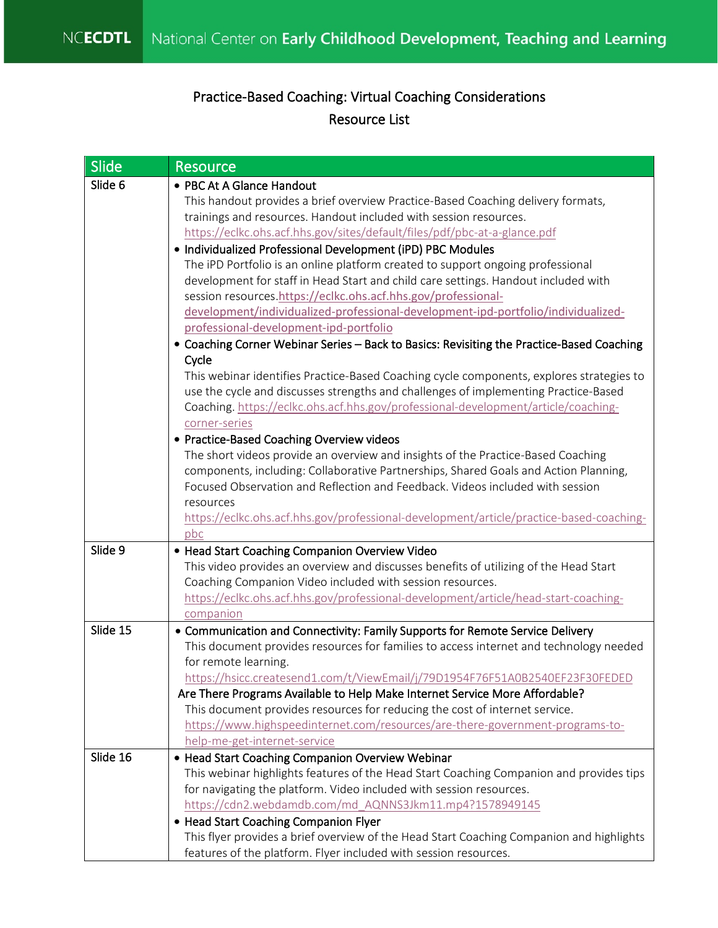## Practice-Based Coaching: Virtual Coaching Considerations Resource List

| <b>Slide</b> | <b>Resource</b>                                                                                                |
|--------------|----------------------------------------------------------------------------------------------------------------|
| Slide 6      | • PBC At A Glance Handout                                                                                      |
|              | This handout provides a brief overview Practice-Based Coaching delivery formats,                               |
|              | trainings and resources. Handout included with session resources.                                              |
|              | https://eclkc.ohs.acf.hhs.gov/sites/default/files/pdf/pbc-at-a-glance.pdf                                      |
|              | • Individualized Professional Development (iPD) PBC Modules                                                    |
|              | The iPD Portfolio is an online platform created to support ongoing professional                                |
|              | development for staff in Head Start and child care settings. Handout included with                             |
|              | session resources.https://eclkc.ohs.acf.hhs.gov/professional-                                                  |
|              | development/individualized-professional-development-ipd-portfolio/individualized-                              |
|              | professional-development-ipd-portfolio                                                                         |
|              | • Coaching Corner Webinar Series - Back to Basics: Revisiting the Practice-Based Coaching                      |
|              | Cycle                                                                                                          |
|              | This webinar identifies Practice-Based Coaching cycle components, explores strategies to                       |
|              | use the cycle and discusses strengths and challenges of implementing Practice-Based                            |
|              | Coaching. https://eclkc.ohs.acf.hhs.gov/professional-development/article/coaching-                             |
|              | corner-series                                                                                                  |
|              | • Practice-Based Coaching Overview videos                                                                      |
|              | The short videos provide an overview and insights of the Practice-Based Coaching                               |
|              | components, including: Collaborative Partnerships, Shared Goals and Action Planning,                           |
|              | Focused Observation and Reflection and Feedback. Videos included with session                                  |
|              | resources                                                                                                      |
|              | https://eclkc.ohs.acf.hhs.gov/professional-development/article/practice-based-coaching-                        |
|              | pbc                                                                                                            |
| Slide 9      | • Head Start Coaching Companion Overview Video                                                                 |
|              | This video provides an overview and discusses benefits of utilizing of the Head Start                          |
|              | Coaching Companion Video included with session resources.                                                      |
|              | https://eclkc.ohs.acf.hhs.gov/professional-development/article/head-start-coaching-                            |
| Slide 15     | companion                                                                                                      |
|              | • Communication and Connectivity: Family Supports for Remote Service Delivery                                  |
|              | This document provides resources for families to access internet and technology needed<br>for remote learning. |
|              | https://hsicc.createsend1.com/t/ViewEmail/j/79D1954F76F51A0B2540EF23F30FEDED                                   |
|              | Are There Programs Available to Help Make Internet Service More Affordable?                                    |
|              | This document provides resources for reducing the cost of internet service.                                    |
|              | https://www.highspeedinternet.com/resources/are-there-government-programs-to-                                  |
|              | help-me-get-internet-service                                                                                   |
| Slide 16     | • Head Start Coaching Companion Overview Webinar                                                               |
|              | This webinar highlights features of the Head Start Coaching Companion and provides tips                        |
|              | for navigating the platform. Video included with session resources.                                            |
|              | https://cdn2.webdamdb.com/md AQNNS3Jkm11.mp4?1578949145                                                        |
|              | • Head Start Coaching Companion Flyer                                                                          |
|              | This flyer provides a brief overview of the Head Start Coaching Companion and highlights                       |
|              | features of the platform. Flyer included with session resources.                                               |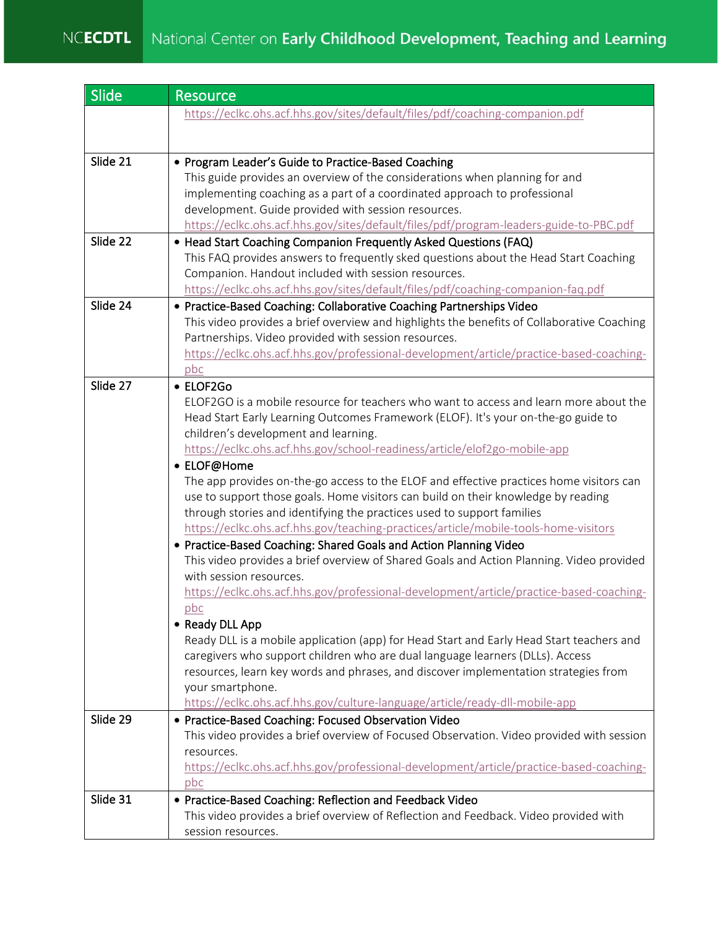| Slide    | <b>Resource</b>                                                                                                                                               |
|----------|---------------------------------------------------------------------------------------------------------------------------------------------------------------|
|          | https://eclkc.ohs.acf.hhs.gov/sites/default/files/pdf/coaching-companion.pdf                                                                                  |
|          |                                                                                                                                                               |
|          |                                                                                                                                                               |
| Slide 21 | • Program Leader's Guide to Practice-Based Coaching<br>This guide provides an overview of the considerations when planning for and                            |
|          | implementing coaching as a part of a coordinated approach to professional                                                                                     |
|          | development. Guide provided with session resources.                                                                                                           |
|          | https://eclkc.ohs.acf.hhs.gov/sites/default/files/pdf/program-leaders-guide-to-PBC.pdf                                                                        |
| Slide 22 | • Head Start Coaching Companion Frequently Asked Questions (FAQ)                                                                                              |
|          | This FAQ provides answers to frequently sked questions about the Head Start Coaching                                                                          |
|          | Companion. Handout included with session resources.                                                                                                           |
|          | https://eclkc.ohs.acf.hhs.gov/sites/default/files/pdf/coaching-companion-faq.pdf                                                                              |
| Slide 24 | • Practice-Based Coaching: Collaborative Coaching Partnerships Video                                                                                          |
|          | This video provides a brief overview and highlights the benefits of Collaborative Coaching                                                                    |
|          | Partnerships. Video provided with session resources.                                                                                                          |
|          | https://eclkc.ohs.acf.hhs.gov/professional-development/article/practice-based-coaching-<br>pbc                                                                |
| Slide 27 | • ELOF2Go                                                                                                                                                     |
|          | ELOF2GO is a mobile resource for teachers who want to access and learn more about the                                                                         |
|          | Head Start Early Learning Outcomes Framework (ELOF). It's your on-the-go guide to                                                                             |
|          | children's development and learning.                                                                                                                          |
|          | https://eclkc.ohs.acf.hhs.gov/school-readiness/article/elof2go-mobile-app                                                                                     |
|          | • ELOF@Home                                                                                                                                                   |
|          | The app provides on-the-go access to the ELOF and effective practices home visitors can                                                                       |
|          | use to support those goals. Home visitors can build on their knowledge by reading                                                                             |
|          | through stories and identifying the practices used to support families                                                                                        |
|          | https://eclkc.ohs.acf.hhs.gov/teaching-practices/article/mobile-tools-home-visitors                                                                           |
|          | • Practice-Based Coaching: Shared Goals and Action Planning Video<br>This video provides a brief overview of Shared Goals and Action Planning. Video provided |
|          | with session resources.                                                                                                                                       |
|          | https://eclkc.ohs.acf.hhs.gov/professional-development/article/practice-based-coaching-                                                                       |
|          | pbc                                                                                                                                                           |
|          | • Ready DLL App                                                                                                                                               |
|          | Ready DLL is a mobile application (app) for Head Start and Early Head Start teachers and                                                                      |
|          | caregivers who support children who are dual language learners (DLLs). Access                                                                                 |
|          | resources, learn key words and phrases, and discover implementation strategies from                                                                           |
|          | your smartphone.                                                                                                                                              |
|          | https://eclkc.ohs.acf.hhs.gov/culture-language/article/ready-dll-mobile-app                                                                                   |
| Slide 29 | • Practice-Based Coaching: Focused Observation Video<br>This video provides a brief overview of Focused Observation. Video provided with session              |
|          | resources.                                                                                                                                                    |
|          | https://eclkc.ohs.acf.hhs.gov/professional-development/article/practice-based-coaching-                                                                       |
|          | pbc                                                                                                                                                           |
| Slide 31 | • Practice-Based Coaching: Reflection and Feedback Video                                                                                                      |
|          | This video provides a brief overview of Reflection and Feedback. Video provided with                                                                          |
|          | session resources.                                                                                                                                            |